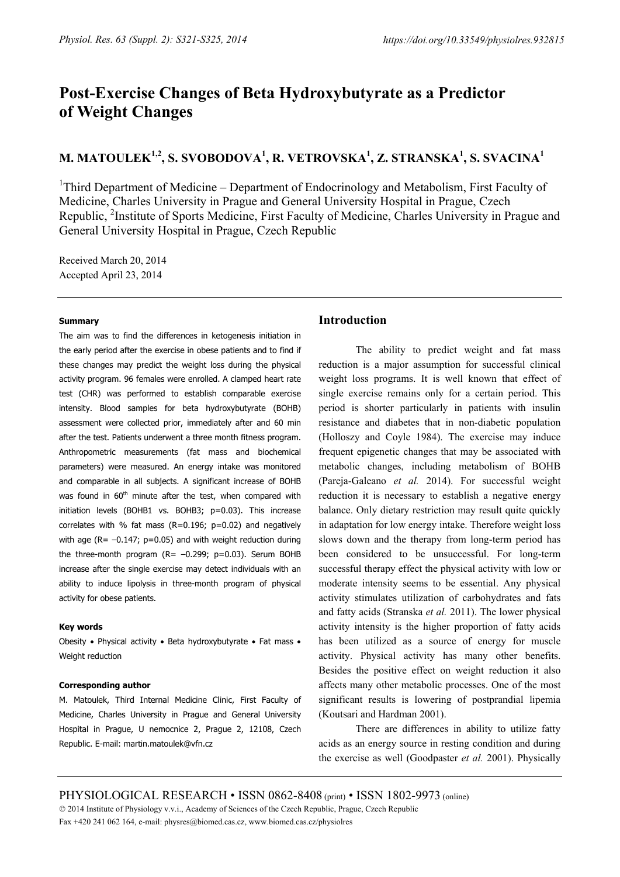# **Post-Exercise Changes of Beta Hydroxybutyrate as a Predictor of Weight Changes**

## **M. MATOULEK1,2, S. SVOBODOVA1 , R. VETROVSKA1 , Z. STRANSKA1 , S. SVACINA<sup>1</sup>**

<sup>1</sup>Third Department of Medicine – Department of Endocrinology and Metabolism, First Faculty of Medicine, Charles University in Prague and General University Hospital in Prague, Czech Republic, <sup>2</sup>Institute of Sports Medicine, First Faculty of Medicine, Charles University in Prague and General University Hospital in Prague, Czech Republic

Received March 20, 2014 Accepted April 23, 2014

#### **Summary**

The aim was to find the differences in ketogenesis initiation in the early period after the exercise in obese patients and to find if these changes may predict the weight loss during the physical activity program. 96 females were enrolled. A clamped heart rate test (CHR) was performed to establish comparable exercise intensity. Blood samples for beta hydroxybutyrate (BOHB) assessment were collected prior, immediately after and 60 min after the test. Patients underwent a three month fitness program. Anthropometric measurements (fat mass and biochemical parameters) were measured. An energy intake was monitored and comparable in all subjects. A significant increase of BOHB was found in 60<sup>th</sup> minute after the test, when compared with initiation levels (BOHB1 vs. BOHB3; p=0.03). This increase correlates with % fat mass (R=0.196;  $p=0.02$ ) and negatively with age ( $R = -0.147$ ;  $p = 0.05$ ) and with weight reduction during the three-month program  $(R = -0.299; p=0.03)$ . Serum BOHB increase after the single exercise may detect individuals with an ability to induce lipolysis in three-month program of physical activity for obese patients.

#### **Key words**

Obesity • Physical activity • Beta hydroxybutyrate • Fat mass • Weight reduction

#### **Corresponding author**

M. Matoulek, Third Internal Medicine Clinic, First Faculty of Medicine, Charles University in Prague and General University Hospital in Prague, U nemocnice 2, Prague 2, 12108, Czech Republic. E-mail: martin.matoulek@vfn.cz

## **Introduction**

The ability to predict weight and fat mass reduction is a major assumption for successful clinical weight loss programs. It is well known that effect of single exercise remains only for a certain period. This period is shorter particularly in patients with insulin resistance and diabetes that in non-diabetic population (Holloszy and Coyle 1984). The exercise may induce frequent epigenetic changes that may be associated with metabolic changes, including metabolism of BOHB [\(Pareja-Galeano](http://www.ncbi.nlm.nih.gov/pubmed?term=Pareja-Galeano%20H%5BAuthor%5D&cauthor=true&cauthor_uid=24399634) *et al.* 2014). For successful weight reduction it is necessary to establish a negative energy balance. Only dietary restriction may result quite quickly in adaptation for low energy intake. Therefore weight loss slows down and the therapy from long-term period has been considered to be unsuccessful. For long-term successful therapy effect the physical activity with low or moderate intensity seems to be essential. Any physical activity stimulates utilization of carbohydrates and fats and fatty acids (Stranska *et al.* 2011). The lower physical activity intensity is the higher proportion of fatty acids has been utilized as a source of energy for muscle activity. Physical activity has many other benefits. Besides the positive effect on weight reduction it also affects many other metabolic processes. One of the most significant results is lowering of postprandial lipemia (Koutsari and Hardman 2001).

There are differences in ability to utilize fatty acids as an energy source in resting condition and during the exercise as well (Goodpaster *et al.* 2001). Physically

PHYSIOLOGICAL RESEARCH • ISSN 0862-8408 (print) • ISSN 1802-9973 (online)

© 2014 Institute of Physiology v.v.i., Academy of Sciences of the Czech Republic, Prague, Czech Republic Fax +420 241 062 164, e-mail: physres@biomed.cas.cz, www.biomed.cas.cz/physiolres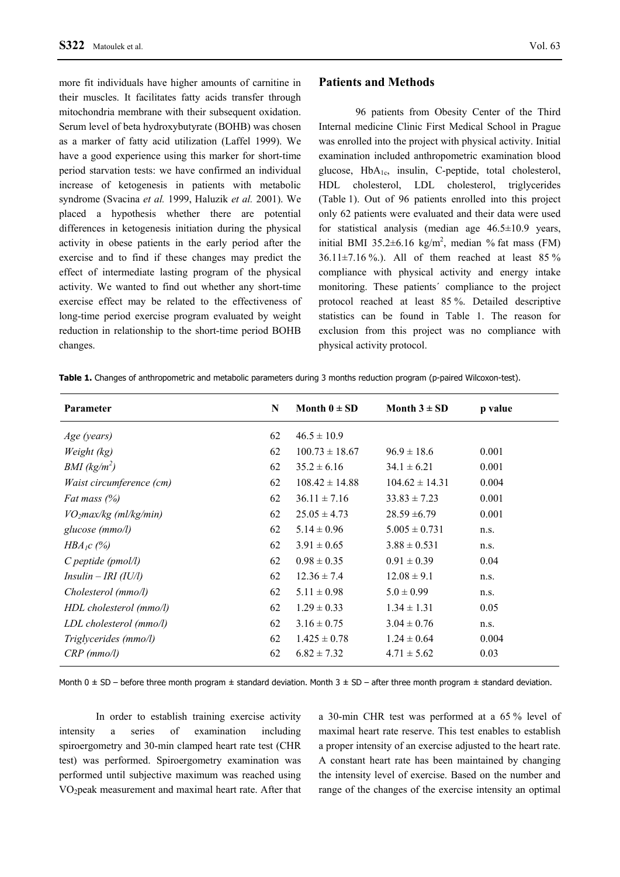more fit individuals have higher amounts of carnitine in their muscles. It facilitates fatty acids transfer through mitochondria membrane with their subsequent oxidation. Serum level of beta hydroxybutyrate (BOHB) was chosen as a marker of fatty acid utilization (Laffel 1999). We have a good experience using this marker for short-time period starvation tests: we have confirmed an individual increase of ketogenesis in patients with metabolic syndrome (Svacina *et al.* 1999, Haluzik *et al.* 2001). We placed a hypothesis whether there are potential differences in ketogenesis initiation during the physical activity in obese patients in the early period after the exercise and to find if these changes may predict the effect of intermediate lasting program of the physical activity. We wanted to find out whether any short-time exercise effect may be related to the effectiveness of long-time period exercise program evaluated by weight reduction in relationship to the short-time period BOHB changes.

### **Patients and Methods**

96 patients from Obesity Center of the Third Internal medicine Clinic First Medical School in Prague was enrolled into the project with physical activity. Initial examination included anthropometric examination blood glucose,  $HbA_{1c}$ , insulin, C-peptide, total cholesterol, HDL cholesterol, LDL cholesterol, triglycerides (Table 1). Out of 96 patients enrolled into this project only 62 patients were evaluated and their data were used for statistical analysis (median age 46.5±10.9 years, initial BMI 35.2 $\pm$ 6.16 kg/m<sup>2</sup>, median % fat mass (FM) 36.11 $\pm$ 7.16 %.). All of them reached at least 85 % compliance with physical activity and energy intake monitoring. These patients´ compliance to the project protocol reached at least 85 %. Detailed descriptive statistics can be found in Table 1. The reason for exclusion from this project was no compliance with physical activity protocol.

**Table 1.** Changes of anthropometric and metabolic parameters during 3 months reduction program (p-paired Wilcoxon-test).

| Parameter                          | N  | Month $0 \pm SD$   | Month $3 \pm SD$   | p value |
|------------------------------------|----|--------------------|--------------------|---------|
| Age (years)                        | 62 | $46.5 \pm 10.9$    |                    |         |
| Weight (kg)                        | 62 | $100.73 \pm 18.67$ | $96.9 \pm 18.6$    | 0.001   |
| BMI (kg/m <sup>2</sup> )           | 62 | $35.2 \pm 6.16$    | $34.1 \pm 6.21$    | 0.001   |
| Waist circumference (cm)           | 62 | $108.42 \pm 14.88$ | $104.62 \pm 14.31$ | 0.004   |
| Fat mass $(%)$                     | 62 | $36.11 \pm 7.16$   | $33.83 \pm 7.23$   | 0.001   |
| VO <sub>2</sub> max/kg (ml/kg/min) | 62 | $25.05 \pm 4.73$   | $28.59 \pm 6.79$   | 0.001   |
| glucose (mmo/l)                    | 62 | $5.14 \pm 0.96$    | $5.005 \pm 0.731$  | n.s.    |
| $HBA_1c$ (%)                       | 62 | $3.91 \pm 0.65$    | $3.88 \pm 0.531$   | n.s.    |
| $C$ peptide (pmol/l)               | 62 | $0.98 \pm 0.35$    | $0.91 \pm 0.39$    | 0.04    |
| $Insulin - IRI (IU/l)$             | 62 | $12.36 \pm 7.4$    | $12.08 \pm 9.1$    | n.s.    |
| Cholesterol (mmo/l)                | 62 | $5.11 \pm 0.98$    | $5.0 \pm 0.99$     | n.s.    |
| HDL cholesterol (mmo/l)            | 62 | $1.29 \pm 0.33$    | $1.34 \pm 1.31$    | 0.05    |
| LDL cholesterol (mmo/l)            | 62 | $3.16 \pm 0.75$    | $3.04 \pm 0.76$    | n.s.    |
| Triglycerides (mmo/l)              | 62 | $1.425 \pm 0.78$   | $1.24 \pm 0.64$    | 0.004   |
| $CRP$ (mmo/l)                      | 62 | $6.82 \pm 7.32$    | $4.71 \pm 5.62$    | 0.03    |
|                                    |    |                    |                    |         |

Month 0  $\pm$  SD – before three month program  $\pm$  standard deviation. Month 3  $\pm$  SD – after three month program  $\pm$  standard deviation.

In order to establish training exercise activity intensity a series of examination including spiroergometry and 30-min clamped heart rate test (CHR test) was performed. Spiroergometry examination was performed until subjective maximum was reached using VO2peak measurement and maximal heart rate. After that

a 30-min CHR test was performed at a 65 % level of maximal heart rate reserve. This test enables to establish a proper intensity of an exercise adjusted to the heart rate. A constant heart rate has been maintained by changing the intensity level of exercise. Based on the number and range of the changes of the exercise intensity an optimal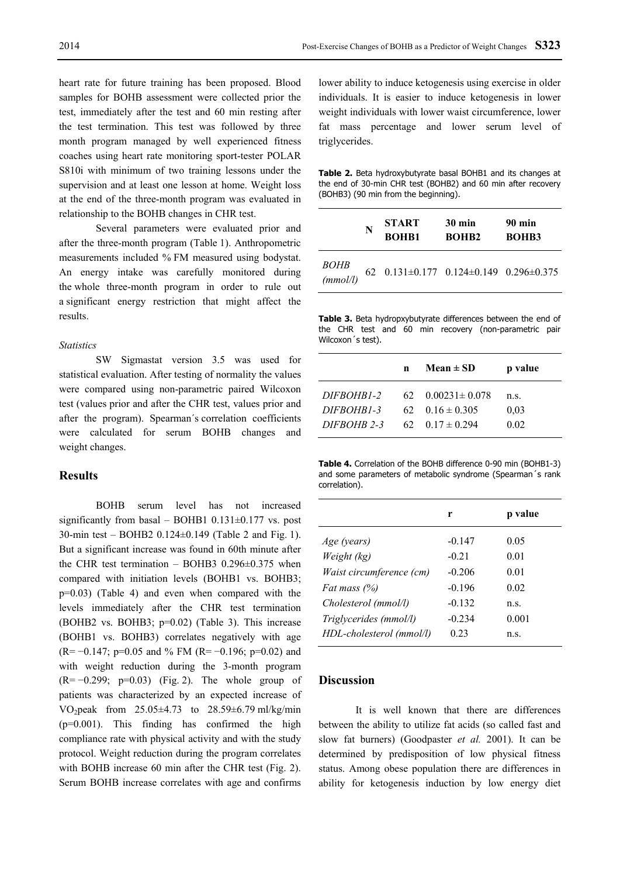heart rate for future training has been proposed. Blood samples for BOHB assessment were collected prior the test, immediately after the test and 60 min resting after the test termination. This test was followed by three month program managed by well experienced fitness coaches using heart rate monitoring sport-tester POLAR S810i with minimum of two training lessons under the supervision and at least one lesson at home. Weight loss at the end of the three-month program was evaluated in relationship to the BOHB changes in CHR test.

Several parameters were evaluated prior and after the three-month program (Table 1). Anthropometric measurements included % FM measured using bodystat. An energy intake was carefully monitored during the whole three-month program in order to rule out a significant energy restriction that might affect the results.

#### *Statistics*

SW Sigmastat version 3.5 was used for statistical evaluation. After testing of normality the values were compared using non-parametric paired Wilcoxon test (values prior and after the CHR test, values prior and after the program). Spearman´s correlation coefficients were calculated for serum BOHB changes and weight changes.

## **Results**

BOHB serum level has not increased significantly from basal – BOHB1 0.131 $\pm$ 0.177 vs. post 30-min test – BOHB2 0.124±0.149 (Table 2 and Fig. 1). But a significant increase was found in 60th minute after the CHR test termination – BOHB3 0.296±0.375 when compared with initiation levels (BOHB1 vs. BOHB3; p=0.03) (Table 4) and even when compared with the levels immediately after the CHR test termination (BOHB2 vs. BOHB3; p=0.02) (Table 3). This increase (BOHB1 vs. BOHB3) correlates negatively with age  $(R=-0.147; p=0.05$  and % FM  $(R=-0.196; p=0.02)$  and with weight reduction during the 3-month program  $(R=-0.299; p=0.03)$  (Fig. 2). The whole group of patients was characterized by an expected increase of VO<sub>2</sub>peak from  $25.05 \pm 4.73$  to  $28.59 \pm 6.79$  ml/kg/min  $(p=0.001)$ . This finding has confirmed the high compliance rate with physical activity and with the study protocol. Weight reduction during the program correlates with BOHB increase 60 min after the CHR test (Fig. 2). Serum BOHB increase correlates with age and confirms

lower ability to induce ketogenesis using exercise in older individuals. It is easier to induce ketogenesis in lower weight individuals with lower waist circumference, lower fat mass percentage and lower serum level of triglycerides.

| <b>Table 2.</b> Beta hydroxybutyrate basal BOHB1 and its changes at |  |  |  |
|---------------------------------------------------------------------|--|--|--|
| the end of 30-min CHR test (BOHB2) and 60 min after recovery        |  |  |  |
| (BOHB3) (90 min from the beginning).                                |  |  |  |

|                                 | N | <b>START</b><br><b>BOHB1</b>              | $30 \text{ min}$<br><b>BOHB2</b> | 90 min<br><b>BOHB3</b> |
|---------------------------------|---|-------------------------------------------|----------------------------------|------------------------|
| BOHB<br>$\frac{2011}{(mmol/l)}$ |   | 62  0.131±0.177  0.124±0.149  0.296±0.375 |                                  |                        |

**Table 3.** Beta hydropxybutyrate differences between the end of the CHR test and 60 min recovery (non-parametric pair Wilcoxon´s test).

|             | n | Mean $\pm$ SD                | p value |
|-------------|---|------------------------------|---------|
| DIFBOHB1-2  |   | $62 \quad 0.00231 \pm 0.078$ | n.s.    |
| DIFBOHB1-3  |   | $62 \quad 0.16 \pm 0.305$    | 0.03    |
| DIFBOHB 2-3 |   | $62 \quad 0.17 \pm 0.294$    | 0.02    |

**Table 4.** Correlation of the BOHB difference 0-90 min (BOHB1-3) and some parameters of metabolic syndrome (Spearman´s rank correlation).

|                          | r        | p value |
|--------------------------|----------|---------|
| Age (years)              | $-0.147$ | 0.05    |
| Weight (kg)              | $-0.21$  | 0.01    |
| Waist circumference (cm) | $-0.206$ | 0.01    |
| Fat mass $(\%)$          | $-0.196$ | 0.02    |
| Cholesterol (mmol/l)     | $-0.132$ | n.s.    |
| Triglycerides (mmol/l)   | $-0.234$ | 0.001   |
| HDL-cholesterol (mmol/l) | 0.23     | n.s.    |

## **Discussion**

It is well known that there are differences between the ability to utilize fat acids (so called fast and slow fat burners) (Goodpaster *et al.* 2001). It can be determined by predisposition of low physical fitness status. Among obese population there are differences in ability for ketogenesis induction by low energy diet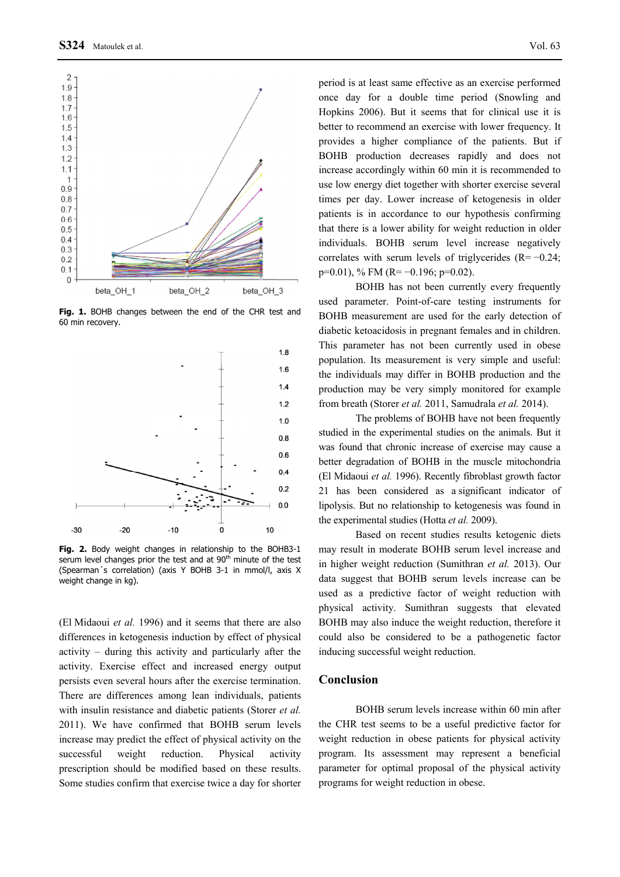

**Fig. 1.** BOHB changes between the end of the CHR test and 60 min recovery.



**Fig. 2.** Body weight changes in relationship to the BOHB3-1 serum level changes prior the test and at 90<sup>th</sup> minute of the test (Spearman´s correlation) (axis Y BOHB 3-1 in mmol/l, axis X weight change in kg).

(El Midaoui *et al.* 1996) and it seems that there are also differences in ketogenesis induction by effect of physical activity – during this activity and particularly after the activity. Exercise effect and increased energy output persists even several hours after the exercise termination. There are differences among lean individuals, patients with insulin resistance and diabetic patients (Storer *et al.* 2011). We have confirmed that BOHB serum levels increase may predict the effect of physical activity on the successful weight reduction. Physical activity prescription should be modified based on these results. Some studies confirm that exercise twice a day for shorter

period is at least same effective as an exercise performed once day for a double time period (Snowling and Hopkins 2006). But it seems that for clinical use it is better to recommend an exercise with lower frequency. It provides a higher compliance of the patients. But if BOHB production decreases rapidly and does not increase accordingly within 60 min it is recommended to use low energy diet together with shorter exercise several times per day. Lower increase of ketogenesis in older patients is in accordance to our hypothesis confirming that there is a lower ability for weight reduction in older individuals. BOHB serum level increase negatively correlates with serum levels of triglycerides (R= −0.24;  $p=0.01$ ), % FM (R= -0.196;  $p=0.02$ ).

BOHB has not been currently every frequently used parameter. Point-of-care testing instruments for BOHB measurement are used for the early detection of diabetic ketoacidosis in pregnant females and in children. This parameter has not been currently used in obese population. Its measurement is very simple and useful: the individuals may differ in BOHB production and the production may be very simply monitored for example from breath (Storer *et al.* 2011, Samudrala *et al.* 2014).

The problems of BOHB have not been frequently studied in the experimental studies on the animals. But it was found that chronic increase of exercise may cause a better degradation of BOHB in the muscle mitochondria (El Midaoui *et al.* 1996). Recently fibroblast growth factor 21 has been considered as a significant indicator of lipolysis. But no relationship to ketogenesis was found in the experimental studies (Hotta *et al.* 2009).

Based on recent studies results ketogenic diets may result in moderate BOHB serum level increase and in higher weight reduction ([Sumithran](http://www.ncbi.nlm.nih.gov/pubmed?term=Sumithran%20P%5BAuthor%5D&cauthor=true&cauthor_uid=23632752) *et al.* 2013). Our data suggest that BOHB serum levels increase can be used as a predictive factor of weight reduction with physical activity. [Sumithran](http://www.ncbi.nlm.nih.gov/pubmed?term=Sumithran%20P%5BAuthor%5D&cauthor=true&cauthor_uid=23632752) suggests that elevated BOHB may also induce the weight reduction, therefore it could also be considered to be a pathogenetic factor inducing successful weight reduction.

## **Conclusion**

BOHB serum levels increase within 60 min after the CHR test seems to be a useful predictive factor for weight reduction in obese patients for physical activity program. Its assessment may represent a beneficial parameter for optimal proposal of the physical activity programs for weight reduction in obese.